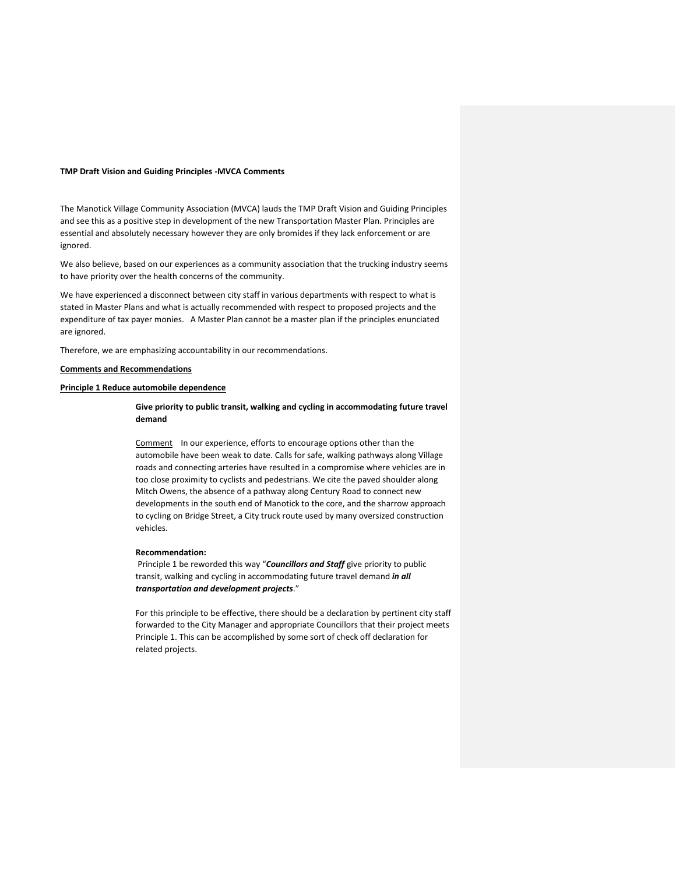## **TMP Draft Vision and Guiding Principles -MVCA Comments**

The Manotick Village Community Association (MVCA) lauds the TMP Draft Vision and Guiding Principles and see this as a positive step in development of the new Transportation Master Plan. Principles are essential and absolutely necessary however they are only bromides if they lack enforcement or are ignored.

We also believe, based on our experiences as a community association that the trucking industry seems to have priority over the health concerns of the community.

We have experienced a disconnect between city staff in various departments with respect to what is stated in Master Plans and what is actually recommended with respect to proposed projects and the expenditure of tax payer monies. A Master Plan cannot be a master plan if the principles enunciated are ignored.

Therefore, we are emphasizing accountability in our recommendations.

# **Comments and Recommendations**

# **Principle 1 Reduce automobile dependence**

**Give priority to public transit, walking and cycling in accommodating future travel demand** 

Comment In our experience, efforts to encourage options other than the automobile have been weak to date. Calls for safe, walking pathways along Village roads and connecting arteries have resulted in a compromise where vehicles are in too close proximity to cyclists and pedestrians. We cite the paved shoulder along Mitch Owens, the absence of a pathway along Century Road to connect new developments in the south end of Manotick to the core, and the sharrow approach to cycling on Bridge Street, a City truck route used by many oversized construction vehicles.

# **Recommendation:**

Principle 1 be reworded this way "*Councillors and Staff* give priority to public transit, walking and cycling in accommodating future travel demand *in all transportation and development projects*."

For this principle to be effective, there should be a declaration by pertinent city staff forwarded to the City Manager and appropriate Councillors that their project meets Principle 1. This can be accomplished by some sort of check off declaration for related projects.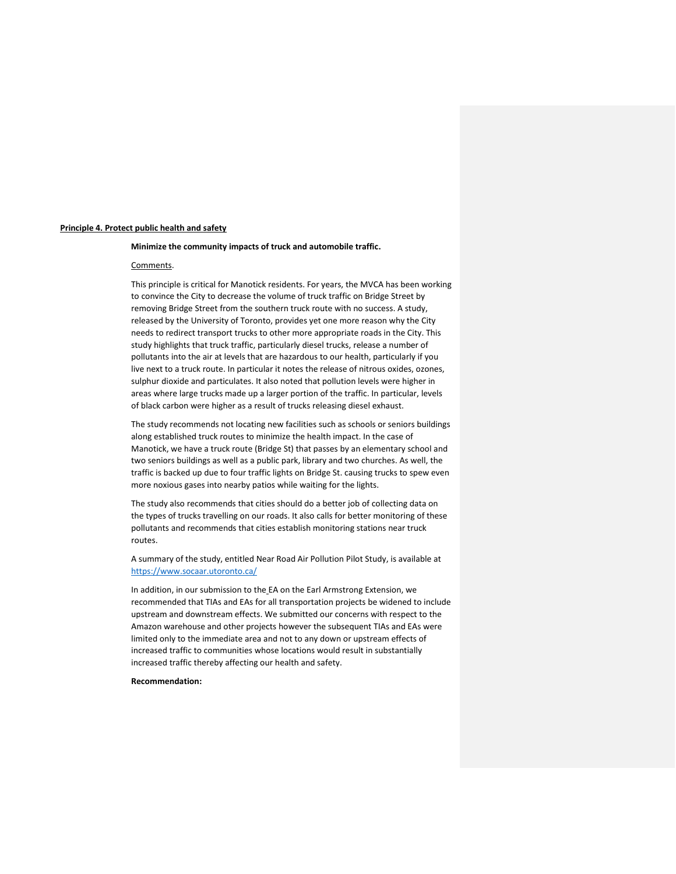### **Principle 4. Protect public health and safety**

## **Minimize the community impacts of truck and automobile traffic.**

# Comments.

This principle is critical for Manotick residents. For years, the MVCA has been working to convince the City to decrease the volume of truck traffic on Bridge Street by removing Bridge Street from the southern truck route with no success. A study, released by the University of Toronto, provides yet one more reason why the City needs to redirect transport trucks to other more appropriate roads in the City. This study highlights that truck traffic, particularly diesel trucks, release a number of pollutants into the air at levels that are hazardous to our health, particularly if you live next to a truck route. In particular it notes the release of nitrous oxides, ozones, sulphur dioxide and particulates. It also noted that pollution levels were higher in areas where large trucks made up a larger portion of the traffic. In particular, levels of black carbon were higher as a result of trucks releasing diesel exhaust.

The study recommends not locating new facilities such as schools or seniors buildings along established truck routes to minimize the health impact. In the case of Manotick, we have a truck route (Bridge St) that passes by an elementary school and two seniors buildings as well as a public park, library and two churches. As well, the traffic is backed up due to four traffic lights on Bridge St. causing trucks to spew even more noxious gases into nearby patios while waiting for the lights.

The study also recommends that cities should do a better job of collecting data on the types of trucks travelling on our roads. It also calls for better monitoring of these pollutants and recommends that cities establish monitoring stations near truck routes.

A summary of the study, entitled Near Road Air Pollution Pilot Study, is available at <https://www.socaar.utoronto.ca/>

In addition, in our submission to the EA on the Earl Armstrong Extension, we recommended that TIAs and EAs for all transportation projects be widened to include upstream and downstream effects. We submitted our concerns with respect to the Amazon warehouse and other projects however the subsequent TIAs and EAs were limited only to the immediate area and not to any down or upstream effects of increased traffic to communities whose locations would result in substantially increased traffic thereby affecting our health and safety.

**Recommendation:**